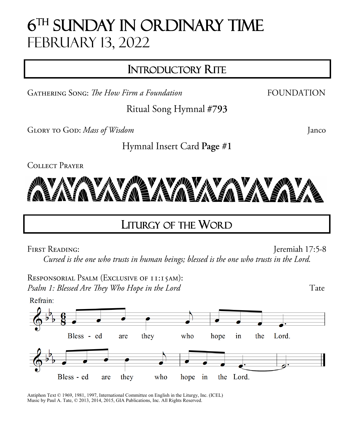# **6TH SUNDAY IN ORDINARY TIME** February 13, 2022

## INTRODUCTORY RITE

**GATHERING SONG:** The How Firm a Foundation

Ritual Song Hymnal #793

GLORY TO GOD: Mass of Wisdom

Janco

**FOUNDATION** 

Hymnal Insert Card Page #1

**COLLECT PRAYER** 



## LITURGY OF THE WORD

**FIRST READING:** 

Jeremiah 17:5-8 Cursed is the one who trusts in human beings; blessed is the one who trusts in the Lord.

RESPONSORIAL PSALM (EXCLUSIVE OF II:I5AM): Psalm 1: Blessed Are They Who Hope in the Lord

Refrain: Bless - ed in Lord. they who hope the are ▱ Bless - ed who the Lord. are they hope in

Antiphon Text © 1969, 1981, 1997, International Committee on English in the Liturgy, Inc. (ICEL) Music by Paul A. Tate, © 2013, 2014, 2015, GIA Publications, Inc. All Rights Reserved.

Tate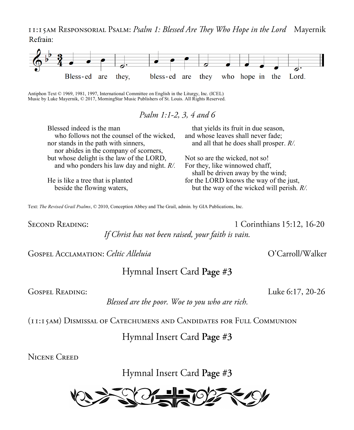II: I 5AM RESPONSORIAL PSALM: Psalm 1: Blessed Are They Who Hope in the Lord Mayernik Refrain:



Antiphon Text © 1969, 1981, 1997, International Committee on English in the Liturgy, Inc. (ICEL) Music by Luke Mayernik, © 2017, MorningStar Music Publishers of St. Louis. All Rights Reserved.

Psalm 1:1-2, 3, 4 and 6

| Blessed indeed is the man                     | that yields its fruit in due season,          |
|-----------------------------------------------|-----------------------------------------------|
| who follows not the counsel of the wicked,    | and whose leaves shall never fade;            |
| nor stands in the path with sinners,          | and all that he does shall prosper. $R/$ .    |
| nor abides in the company of scorners,        |                                               |
| but whose delight is the law of the LORD,     | Not so are the wicked, not so!                |
| and who ponders his law day and night. $R/$ . | For they, like winnowed chaff,                |
|                                               | shall be driven away by the wind;             |
| He is like a tree that is planted             | for the LORD knows the way of the just,       |
| beside the flowing waters,                    | but the way of the wicked will perish. $R/$ . |
|                                               |                                               |

Text: The Revised Grail Psalms, © 2010, Conception Abbey and The Grail, admin. by GIA Publications, Inc.

**SECOND READING:** 

1 Corinthians 15:12, 16-20 If Christ has not been raised, your faith is vain.

GOSPEL ACCLAMATION: Celtic Alleluia

Hymnal Insert Card Page #3

**GOSPEL READING:** 

Luke 6:17, 20-26

Blessed are the poor. Woe to you who are rich.

(II:15AM) DISMISSAL OF CATECHUMENS AND CANDIDATES FOR FULL COMMUNION

### Hymnal Insert Card Page #3

**NICENE CREED** 

Hymnal Insert Card Page #3



O'Carroll/Walker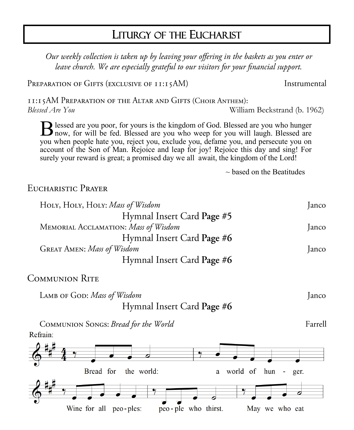## LITURGY OF THE EUCHARIST

Our weekly collection is taken up by leaving your offering in the baskets as you enter or leave church. We are especially grateful to our visitors for your financial support.

PREPARATION OF GIFTS (EXCLUSIVE OF 11:15AM)

II: I 5AM PREPARATION OF THE ALTAR AND GIFTS (CHOIR ANTHEM): *Blessed Are You* William Beckstrand (b. 1962)

B lessed are you poor, for yours is the kingdom of God. Blessed are you who hunger now, for will be fed. Blessed are you who weep for you will laugh. Blessed are I now, for will be fed. Blessed are you who weep for you will laugh. Blessed are you when people hate you, reject you, exclude you, defame you, and persecute you on account of the Son of Man. Rejoice and leap for joy! Rejoice this day and sing! For surely your reward is great; a promised day we all await, the kingdom of the Lord!

 $\sim$  based on the Beatitudes

EUCHARISTIC PRAYER

| HOLY, HOLY, HOLY: Mass of Wisdom     | anco  |
|--------------------------------------|-------|
| Hymnal Insert Card Page #5           |       |
| MEMORIAL ACCLAMATION: Mass of Wisdom | Janco |
| Hymnal Insert Card Page #6           |       |
| <b>GREAT AMEN: Mass of Wisdom</b>    | Janco |
| Hymnal Insert Card Page #6           |       |

**COMMUNION RITE** 

LAMB OF GOD: Mass of Wisdom Janco Hymnal Insert Card Page #6

COMMUNION SONGS: Bread for the World Refrain:



Instrumental

Farrell